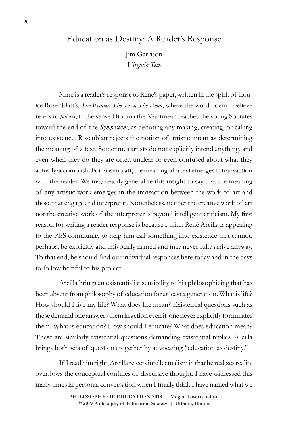## Education as Destiny: A Reader's Response

Jim Garrison *Virginia Tech*

Mine is a reader's response to René's paper, written in the spirit of Louise Rosenblatt's, *The Reader, The Text, The Poem*, where the word poem I believe refers to *poiesis*, in the sense Diotima the Mantinean teaches the young Socrates toward the end of the *Symposium*, as denoting any making, creating, or calling into existence. Rosenblatt rejects the notion of artistic intent as determining the meaning of a text. Sometimes artists do not explicitly intend anything, and even when they do they are often unclear or even confused about what they actually accomplish. For Rosenblatt, the meaning of a text emerges in transaction with the reader. We may readily generalize this insight to say that the meaning of any artistic work emerges in the transaction between the work of art and those that engage and interpret it. Nonetheless, neither the creative work of art nor the creative work of the interpreter is beyond intelligent criticism. My first reason for writing a reader response is because I think René Arcilla is appealing to the PES community to help him call something into existence that cannot, perhaps, be explicitly and univocally named and may never fully arrive anyway. To that end, he should find our individual responses here today and in the days to follow helpful to his project.

Arcilla brings an existentialist sensibility to his philosophizing that has been absent from philosophy of education for at least a generation. What is life? How should I live my life? What does life mean? Existential questions such as these demand one answers them in action even if one never explicitly formulates them. What is education? How should I educate? What does education mean? These are similarly existential questions demanding existential replies. Arcilla brings both sets of questions together by advocating "education as destiny."

If I read him right, Arcilla rejects intellectualism in that he realizes reality overflows the conceptual confines of discursive thought. I have witnessed this many times in personal conversation when I finally think I have named what we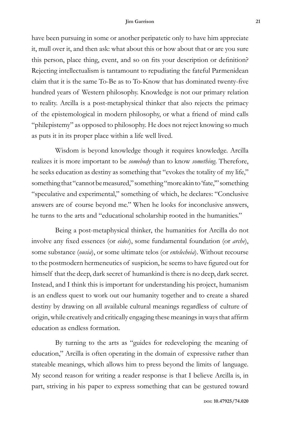## **Jim Garrison 21**

have been pursuing in some or another peripatetic only to have him appreciate it, mull over it, and then ask: what about this or how about that or are you sure this person, place thing, event, and so on fits your description or definition? Rejecting intellectualism is tantamount to repudiating the fateful Parmenidean claim that it is the same To-Be as to To-Know that has dominated twenty-five hundred years of Western philosophy. Knowledge is not our primary relation to reality. Arcilla is a post-metaphysical thinker that also rejects the primacy of the epistemological in modern philosophy, or what a friend of mind calls "philepistemy" as opposed to philosophy. He does not reject knowing so much as puts it in its proper place within a life well lived.

Wisdom is beyond knowledge though it requires knowledge. Arcilla realizes it is more important to be *somebody* than to know *something.* Therefore, he seeks education as destiny as something that "evokes the totality of my life," something that "cannot be measured," something "more akin to 'fate,'" something "speculative and experimental," something of which, he declares: "Conclusive answers are of course beyond me." When he looks for inconclusive answers, he turns to the arts and "educational scholarship rooted in the humanities."

Being a post-metaphysical thinker, the humanities for Arcilla do not involve any fixed essences (or *eidos*), some fundamental foundation (or *arche*), some substance (*ousia*), or some ultimate telos (or *entelecheia*). Without recourse to the postmodern hermeneutics of suspicion, he seems to have figured out for himself that the deep, dark secret of humankind is there is no deep, dark secret. Instead, and I think this is important for understanding his project, humanism is an endless quest to work out our humanity together and to create a shared destiny by drawing on all available cultural meanings regardless of culture of origin, while creatively and critically engaging these meanings in ways that affirm education as endless formation.

By turning to the arts as "guides for redeveloping the meaning of education," Arcilla is often operating in the domain of expressive rather than stateable meanings, which allows him to press beyond the limits of language. My second reason for writing a reader response is that I believe Arcilla is, in part, striving in his paper to express something that can be gestured toward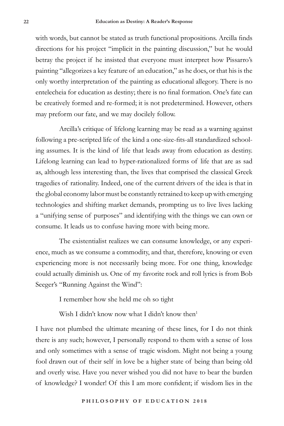with words, but cannot be stated as truth functional propositions. Arcilla finds directions for his project "implicit in the painting discussion," but he would betray the project if he insisted that everyone must interpret how Pissarro's painting "allegorizes a key feature of an education," as he does, or that his is the only worthy interpretation of the painting as educational allegory. There is no entelecheia for education as destiny; there is no final formation. One's fate can be creatively formed and re-formed; it is not predetermined. However, others may preform our fate, and we may docilely follow.

Arcilla's critique of lifelong learning may be read as a warning against following a pre-scripted life of the kind a one-size-fits-all standardized schooling assumes. It is the kind of life that leads away from education as destiny. Lifelong learning can lead to hyper-rationalized forms of life that are as sad as, although less interesting than, the lives that comprised the classical Greek tragedies of rationality. Indeed, one of the current drivers of the idea is that in the global economy labor must be constantly retrained to keep up with emerging technologies and shifting market demands, prompting us to live lives lacking a "unifying sense of purposes" and identifying with the things we can own or consume. It leads us to confuse having more with being more.

The existentialist realizes we can consume knowledge, or any experience, much as we consume a commodity, and that, therefore, knowing or even experiencing more is not necessarily being more. For one thing, knowledge could actually diminish us. One of my favorite rock and roll lyrics is from Bob Seeger's "Running Against the Wind":

I remember how she held me oh so tight

Wish I didn't know now what I didn't know then<sup>1</sup>

I have not plumbed the ultimate meaning of these lines, for I do not think there is any such; however, I personally respond to them with a sense of loss and only sometimes with a sense of tragic wisdom. Might not being a young fool drawn out of their self in love be a higher state of being than being old and overly wise. Have you never wished you did not have to bear the burden of knowledge? I wonder! Of this I am more confident; if wisdom lies in the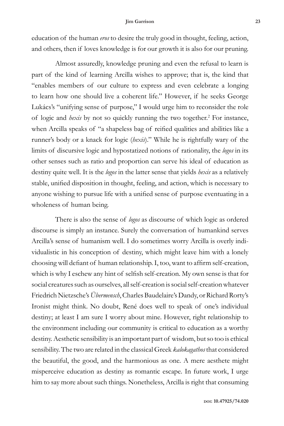## **Jim Garrison 23**

education of the human *eros* to desire the truly good in thought, feeling, action, and others, then if loves knowledge is for our growth it is also for our pruning.

Almost assuredly, knowledge pruning and even the refusal to learn is part of the kind of learning Arcilla wishes to approve; that is, the kind that "enables members of our culture to express and even celebrate a longing to learn how one should live a coherent life." However, if he seeks George Lukács's "unifying sense of purpose," I would urge him to reconsider the role of logic and *hexis* by not so quickly running the two together.<sup>2</sup> For instance, when Arcilla speaks of "a shapeless bag of reified qualities and abilities like a runner's body or a knack for logic (*hexis*)." While he is rightfully wary of the limits of discursive logic and hypostatized notions of rationality, the *logos* in its other senses such as ratio and proportion can serve his ideal of education as destiny quite well. It is the *logos* in the latter sense that yields *hexis* as a relatively stable, unified disposition in thought, feeling, and action, which is necessary to anyone wishing to pursue life with a unified sense of purpose eventuating in a wholeness of human being.

There is also the sense of *logos* as discourse of which logic as ordered discourse is simply an instance. Surely the conversation of humankind serves Arcilla's sense of humanism well. I do sometimes worry Arcilla is overly individualistic in his conception of destiny, which might leave him with a lonely choosing will defiant of human relationship. I, too, want to affirm self-creation, which is why I eschew any hint of selfish self-creation. My own sense is that for social creatures such as ourselves, all self-creation is social self-creation whatever Friedrich Nietzsche's *Übermensch*, Charles Baudelaire's Dandy, or Richard Rorty's Ironist might think. No doubt, René does well to speak of one's individual destiny; at least I am sure I worry about mine. However, right relationship to the environment including our community is critical to education as a worthy destiny. Aesthetic sensibility is an important part of wisdom, but so too is ethical sensibility. The two are related in the classical Greek *kalokagathos* that considered the beautiful, the good, and the harmonious as one. A mere aesthete might misperceive education as destiny as romantic escape. In future work, I urge him to say more about such things. Nonetheless, Arcilla is right that consuming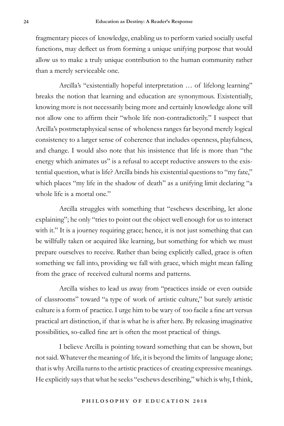fragmentary pieces of knowledge, enabling us to perform varied socially useful functions, may deflect us from forming a unique unifying purpose that would allow us to make a truly unique contribution to the human community rather than a merely serviceable one.

Arcilla's "existentially hopeful interpretation … of lifelong learning" breaks the notion that learning and education are synonymous. Existentially, knowing more is not necessarily being more and certainly knowledge alone will not allow one to affirm their "whole life non-contradictorily." I suspect that Arcilla's postmetaphysical sense of wholeness ranges far beyond merely logical consistency to a larger sense of coherence that includes openness, playfulness, and change. I would also note that his insistence that life is more than "the energy which animates us" is a refusal to accept reductive answers to the existential question, what is life? Arcilla binds his existential questions to "my fate," which places "my life in the shadow of death" as a unifying limit declaring "a whole life is a mortal one."

Arcilla struggles with something that "eschews describing, let alone explaining"; he only "tries to point out the object well enough for us to interact with it." It is a journey requiring grace; hence, it is not just something that can be willfully taken or acquired like learning, but something for which we must prepare ourselves to receive. Rather than being explicitly called, grace is often something we fall into, providing we fall with grace, which might mean falling from the grace of received cultural norms and patterns.

Arcilla wishes to lead us away from "practices inside or even outside of classrooms" toward "a type of work of artistic culture," but surely artistic culture is a form of practice. I urge him to be wary of too facile a fine art versus practical art distinction, if that is what he is after here. By releasing imaginative possibilities, so-called fine art is often the most practical of things.

I believe Arcilla is pointing toward something that can be shown, but not said. Whatever the meaning of life, it is beyond the limits of language alone; that is why Arcilla turns to the artistic practices of creating expressive meanings. He explicitly says that what he seeks "eschews describing," which is why, I think,